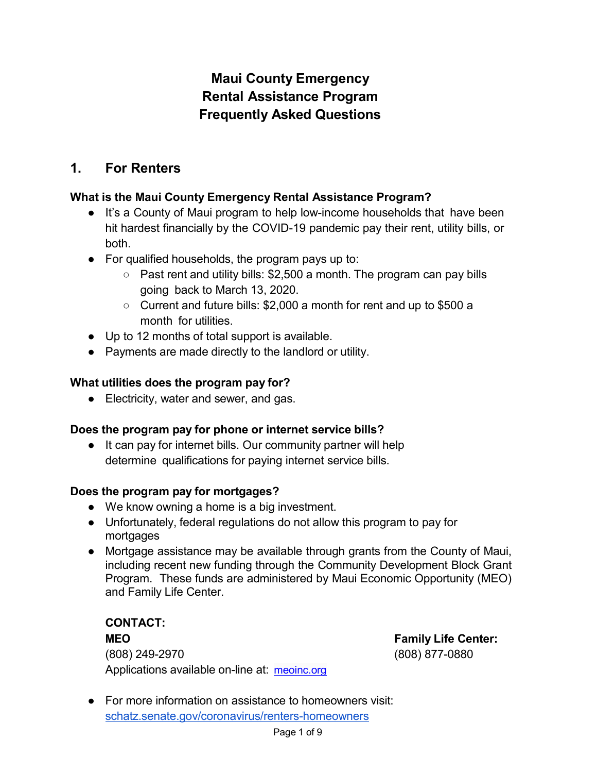# **Maui County Emergency Rental Assistance Program Frequently Asked Questions**

# **1. For Renters**

# **What is the Maui County Emergency Rental Assistance Program?**

- It's a County of Maui program to help low-income households that have been hit hardest financially by the COVID-19 pandemic pay their rent, utility bills, or both.
- For qualified households, the program pays up to:
	- Past rent and utility bills: \$2,500 a month. The program can pay bills going back to March 13, 2020.
	- Current and future bills: \$2,000 a month for rent and up to \$500 a month for utilities.
- Up to 12 months of total support is available.
- Payments are made directly to the landlord or utility.

# **What utilities does the program pay for?**

● Electricity, water and sewer, and gas.

## **Does the program pay for phone or internet service bills?**

● It can pay for internet bills. Our community partner will help determine qualifications for paying internet service bills.

## **Does the program pay for mortgages?**

- We know owning a home is a big investment.
- Unfortunately, federal regulations do not allow this program to pay for mortgages
- Mortgage assistance may be available through grants from the County of Maui, including recent new funding through the Community Development Block Grant Program. These funds are administered by Maui Economic Opportunity (MEO) and Family Life Center.

**CONTACT: MEO Family Life Center:** (808) 249-2970 (808) 877-0880 Applications available on-line at: <u>[meoinc.org](http://meoinc.org/)</u>

● For more information on assistance to homeowners visit: [schatz.senate.gov/coronavirus/renters-homeowners](https://www.schatz.senate.gov/coronavirus/renters-homeowners)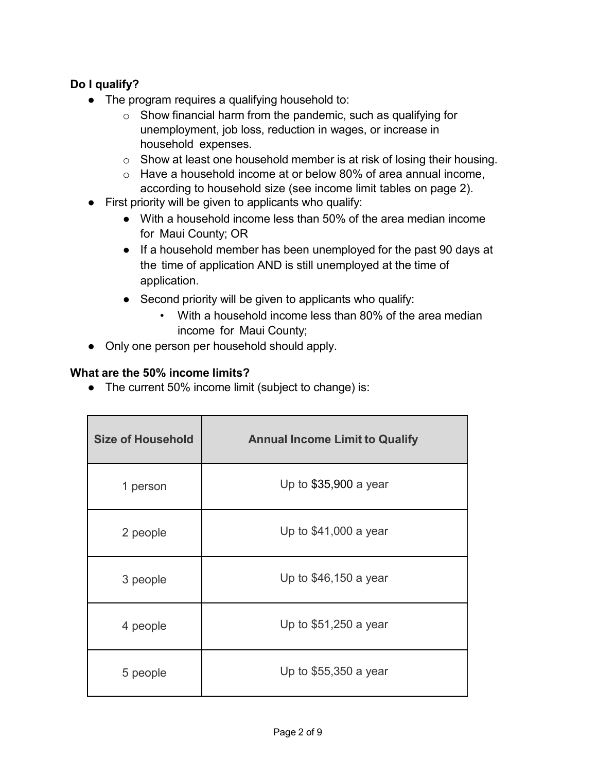# **Do I qualify?**

- The program requires a qualifying household to:
	- $\circ$  Show financial harm from the pandemic, such as qualifying for unemployment, job loss, reduction in wages, or increase in household expenses.
	- $\circ$  Show at least one household member is at risk of losing their housing.
	- o Have a household income at or below 80% of area annual income, according to household size (see income limit tables on page 2).
- First priority will be given to applicants who qualify:
	- With a household income less than 50% of the area median income for Maui County; OR
	- If a household member has been unemployed for the past 90 days at the time of application AND is still unemployed at the time of application.
	- Second priority will be given to applicants who qualify:
		- With a household income less than 80% of the area median income for Maui County;
- Only one person per household should apply.

#### **What are the 50% income limits?**

● The current 50% income limit (subject to change) is:

| <b>Size of Household</b> | <b>Annual Income Limit to Qualify</b> |
|--------------------------|---------------------------------------|
| 1 person                 | Up to \$35,900 a year                 |
| 2 people                 | Up to $$41,000$ a year                |
| 3 people                 | Up to \$46,150 a year                 |
| 4 people                 | Up to \$51,250 a year                 |
| 5 people                 | Up to \$55,350 a year                 |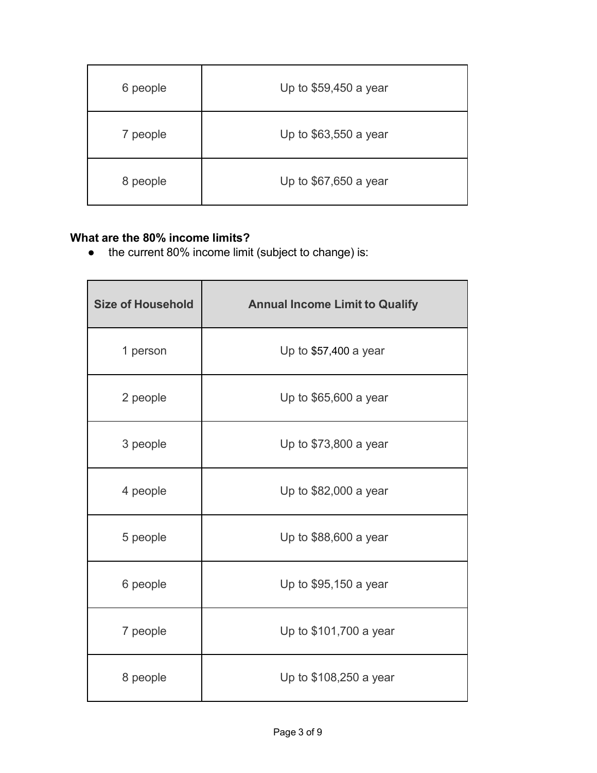| 6 people | Up to \$59,450 a year |
|----------|-----------------------|
| 7 people | Up to \$63,550 a year |
| 8 people | Up to \$67,650 a year |

# **What are the 80% income limits?**

● the current 80% income limit (subject to change) is:

| <b>Size of Household</b> | <b>Annual Income Limit to Qualify</b> |
|--------------------------|---------------------------------------|
| 1 person                 | Up to \$57,400 a year                 |
| 2 people                 | Up to \$65,600 a year                 |
| 3 people                 | Up to \$73,800 a year                 |
| 4 people                 | Up to \$82,000 a year                 |
| 5 people                 | Up to \$88,600 a year                 |
| 6 people                 | Up to \$95,150 a year                 |
| 7 people                 | Up to \$101,700 a year                |
| 8 people                 | Up to \$108,250 a year                |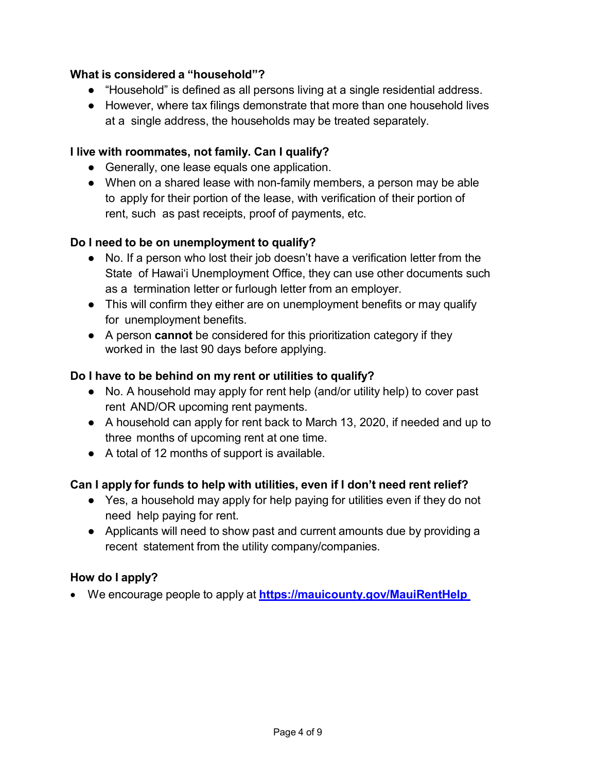### **What is considered a "household"?**

- "Household" is defined as all persons living at a single residential address.
- However, where tax filings demonstrate that more than one household lives at a single address, the households may be treated separately.

#### **I live with roommates, not family. Can I qualify?**

- Generally, one lease equals one application.
- When on a shared lease with non-family members, a person may be able to apply for their portion of the lease, with verification of their portion of rent, such as past receipts, proof of payments, etc.

#### **Do I need to be on unemployment to qualify?**

- No. If a person who lost their job doesn't have a verification letter from the State of Hawaiʻi Unemployment Office, they can use other documents such as a termination letter or furlough letter from an employer.
- This will confirm they either are on unemployment benefits or may qualify for unemployment benefits.
- A person **cannot** be considered for this prioritization category if they worked in the last 90 days before applying.

#### **Do I have to be behind on my rent or utilities to qualify?**

- No. A household may apply for rent help (and/or utility help) to cover past rent AND/OR upcoming rent payments.
- A household can apply for rent back to March 13, 2020, if needed and up to three months of upcoming rent at one time.
- A total of 12 months of support is available.

#### **Can I apply for funds to help with utilities, even if I don't need rent relief?**

- Yes, a household may apply for help paying for utilities even if they do not need help paying for rent.
- Applicants will need to show past and current amounts due by providing a recent statement from the utility company/companies.

#### **How do I apply?**

• We encourage people to apply at **<https://mauicounty.gov/MauiRentHelp>**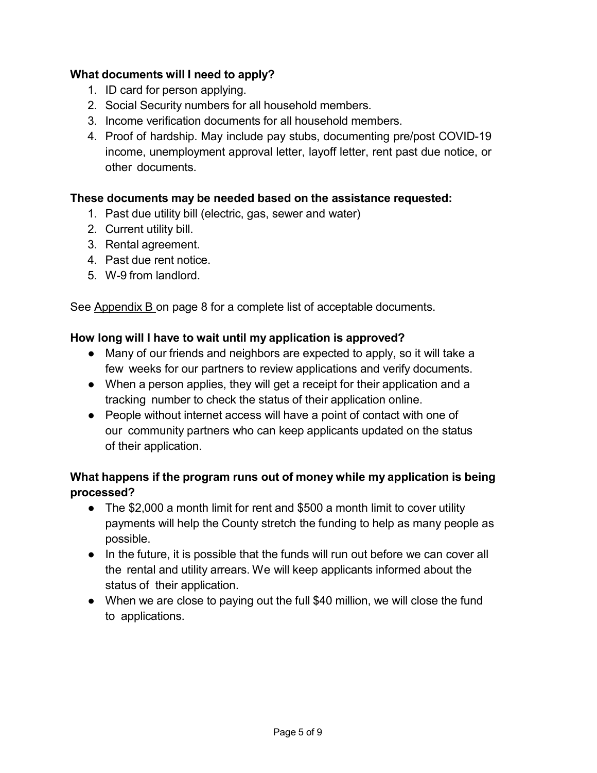## **What documents will I need to apply?**

- 1. ID card for person applying.
- 2. Social Security numbers for all household members.
- 3. Income verification documents for all household members.
- 4. Proof of hardship. May include pay stubs, documenting pre/post COVID-19 income, unemployment approval letter, layoff letter, rent past due notice, or other documents.

## **These documents may be needed based on the assistance requested:**

- 1. Past due utility bill (electric, gas, sewer and water)
- 2. Current utility bill.
- 3. Rental agreement.
- 4. Past due rent notice.
- 5. W-9 from landlord.

See Appendix B on page 8 for a complete list of acceptable documents.

#### **How long will I have to wait until my application is approved?**

- Many of our friends and neighbors are expected to apply, so it will take a few weeks for our partners to review applications and verify documents.
- When a person applies, they will get a receipt for their application and a tracking number to check the status of their application online.
- People without internet access will have a point of contact with one of our community partners who can keep applicants updated on the status of their application.

# **What happens if the program runs out of money while my application is being processed?**

- The \$2,000 a month limit for rent and \$500 a month limit to cover utility payments will help the County stretch the funding to help as many people as possible.
- In the future, it is possible that the funds will run out before we can cover all the rental and utility arrears. We will keep applicants informed about the status of their application.
- When we are close to paying out the full \$40 million, we will close the fund to applications.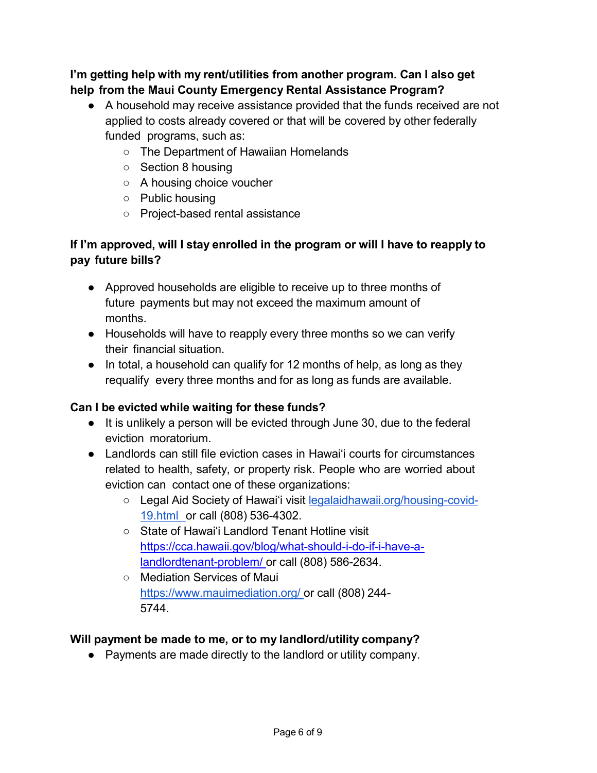**I'm getting help with my rent/utilities from another program. Can I also get help from the Maui County Emergency Rental Assistance Program?**

- A household may receive assistance provided that the funds received are not applied to costs already covered or that will be covered by other federally funded programs, such as:
	- The Department of Hawaiian Homelands
	- Section 8 housing
	- A housing choice voucher
	- Public housing
	- Project-based rental assistance

# **If I'm approved, will I stay enrolled in the program or will I have to reapply to pay future bills?**

- Approved households are eligible to receive up to three months of future payments but may not exceed the maximum amount of months.
- Households will have to reapply every three months so we can verify their financial situation.
- In total, a household can qualify for 12 months of help, as long as they requalify every three months and for as long as funds are available.

#### **Can I be evicted while waiting for these funds?**

- It is unlikely a person will be evicted through June 30, due to the federal eviction moratorium.
- Landlords can still file eviction cases in Hawaiʻi courts for circumstances related to health, safety, or property risk. People who are worried about eviction can contact one of these organizations:
	- Legal Aid Society of Hawaiʻi visit [legalaidhawaii.org/housing-covid-](https://www.legalaidhawaii.org/housing-covid-19.html)[19.html](https://www.legalaidhawaii.org/housing-covid-19.html) or call (808) 536-4302.
	- State of Hawaiʻi Landlord Tenant Hotline visit [https://cca.hawaii.gov/blog/what-should-i-do-if-i-have-a](https://cca.hawaii.gov/blog/what-should-i-do-if-i-have-a-landlordtenant-problem/)[landlordtenant-problem/](https://cca.hawaii.gov/blog/what-should-i-do-if-i-have-a-landlordtenant-problem/) or call (808) 586-2634.
	- Mediation Services of Maui [https://www.mauimediation.org/](https://www.mediatehawaii.org/landlordtenant) or call (808) 244- 5744.

#### **Will payment be made to me, or to my landlord/utility company?**

● Payments are made directly to the landlord or utility company.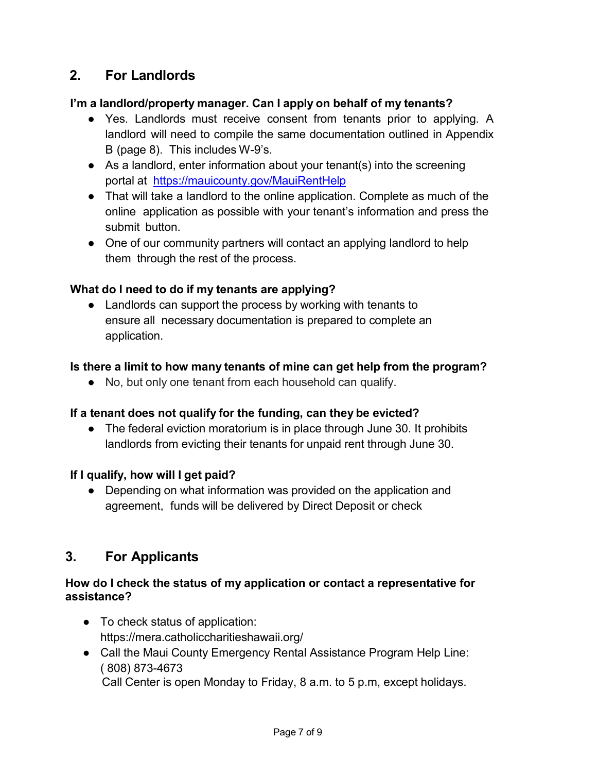# **2. For Landlords**

#### **I'm a landlord/property manager. Can I apply on behalf of my tenants?**

- Yes. Landlords must receive consent from tenants prior to applying. A landlord will need to compile the same documentation outlined in Appendix B (page 8). This includes W-9's.
- As a landlord, enter information about your tenant(s) into the screening portal at <https://mauicounty.gov/MauiRentHelp>
- That will take a landlord to the online application. Complete as much of the online application as possible with your tenant's information and press the submit button.
- One of our community partners will contact an applying landlord to help them through the rest of the process.

#### **What do I need to do if my tenants are applying?**

• Landlords can support the process by working with tenants to ensure all necessary documentation is prepared to complete an application.

#### **Is there a limit to how many tenants of mine can get help from the program?**

● No, but only one tenant from each household can qualify.

#### **If a tenant does not qualify for the funding, can they be evicted?**

• The federal eviction moratorium is in place through June 30. It prohibits landlords from evicting their tenants for unpaid rent through June 30.

## **If I qualify, how will I get paid?**

• Depending on what information was provided on the application and agreement, funds will be delivered by Direct Deposit or check

# **3. For Applicants**

#### **How do I check the status of my application or contact a representative for assistance?**

- To check status of application: https://mera.catholiccharitieshawaii.org/
- Call the Maui County Emergency Rental Assistance Program Help Line: ( 808) 873-4673 Call Center is open Monday to Friday, 8 a.m. to 5 p.m, except holidays.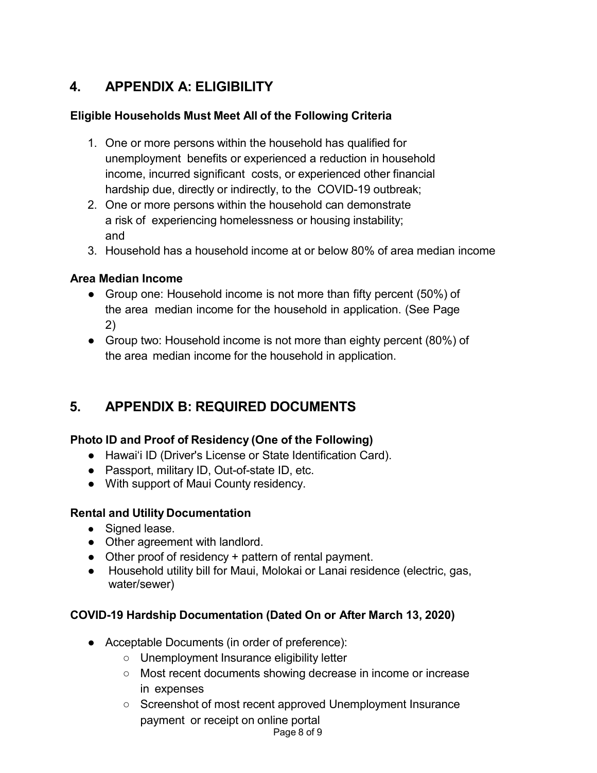# **4. APPENDIX A: ELIGIBILITY**

# **Eligible Households Must Meet All of the Following Criteria**

- 1. One or more persons within the household has qualified for unemployment benefits or experienced a reduction in household income, incurred significant costs, or experienced other financial hardship due, directly or indirectly, to the COVID-19 outbreak;
- 2. One or more persons within the household can demonstrate a risk of experiencing homelessness or housing instability; and
- 3. Household has a household income at or below 80% of area median income

#### **Area Median Income**

- Group one: Household income is not more than fifty percent (50%) of the area median income for the household in application. (See Page 2)
- Group two: Household income is not more than eighty percent (80%) of the area median income for the household in application.

# **5. APPENDIX B: REQUIRED DOCUMENTS**

## **Photo ID and Proof of Residency (One of the Following)**

- Hawaiʻi ID (Driver's License or State Identification Card).
- Passport, military ID, Out-of-state ID, etc.
- With support of Maui County residency.

## **Rental and Utility Documentation**

- Signed lease.
- Other agreement with landlord.
- Other proof of residency + pattern of rental payment.
- Household utility bill for Maui, Molokai or Lanai residence (electric, gas, water/sewer)

## **COVID-19 Hardship Documentation (Dated On or After March 13, 2020)**

- Acceptable Documents (in order of preference):
	- Unemployment Insurance eligibility letter
	- Most recent documents showing decrease in income or increase in expenses
	- Screenshot of most recent approved Unemployment Insurance payment or receipt on online portal

Page 8 of 9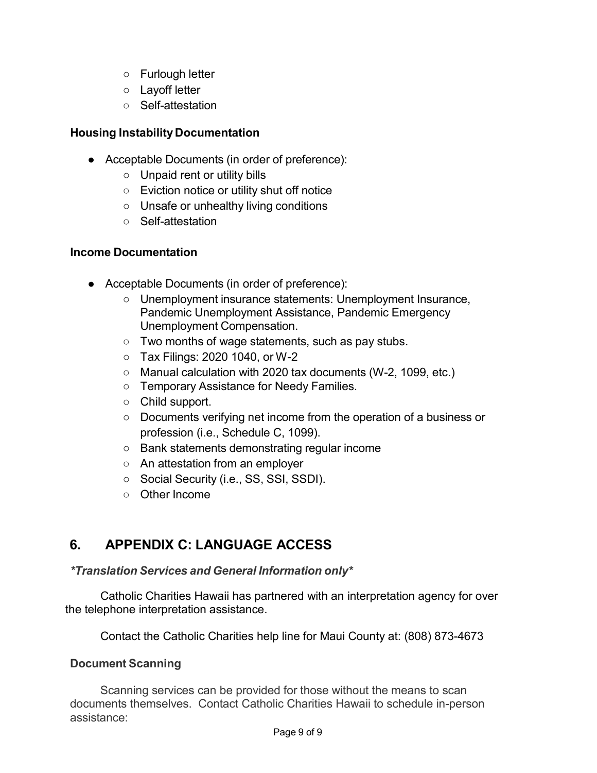- Furlough letter
- Layoff letter
- Self-attestation

### **Housing Instability Documentation**

- Acceptable Documents (in order of preference):
	- Unpaid rent or utility bills
	- Eviction notice or utility shut off notice
	- Unsafe or unhealthy living conditions
	- Self-attestation

#### **Income Documentation**

- Acceptable Documents (in order of preference):
	- Unemployment insurance statements: Unemployment Insurance, Pandemic Unemployment Assistance, Pandemic Emergency Unemployment Compensation.
	- Two months of wage statements, such as pay stubs.
	- Tax Filings: 2020 1040, or W-2
	- Manual calculation with 2020 tax documents (W-2, 1099, etc.)
	- Temporary Assistance for Needy Families.
	- Child support.
	- Documents verifying net income from the operation of a business or profession (i.e., Schedule C, 1099).
	- Bank statements demonstrating regular income
	- An attestation from an employer
	- Social Security (i.e., SS, SSI, SSDI).
	- Other Income

# **6. APPENDIX C: LANGUAGE ACCESS**

#### *\*Translation Services and General Information only\**

Catholic Charities Hawaii has partnered with an interpretation agency for over the telephone interpretation assistance.

Contact the Catholic Charities help line for Maui County at: (808) 873-4673

#### **Document Scanning**

Scanning services can be provided for those without the means to scan documents themselves. Contact Catholic Charities Hawaii to schedule in-person assistance: